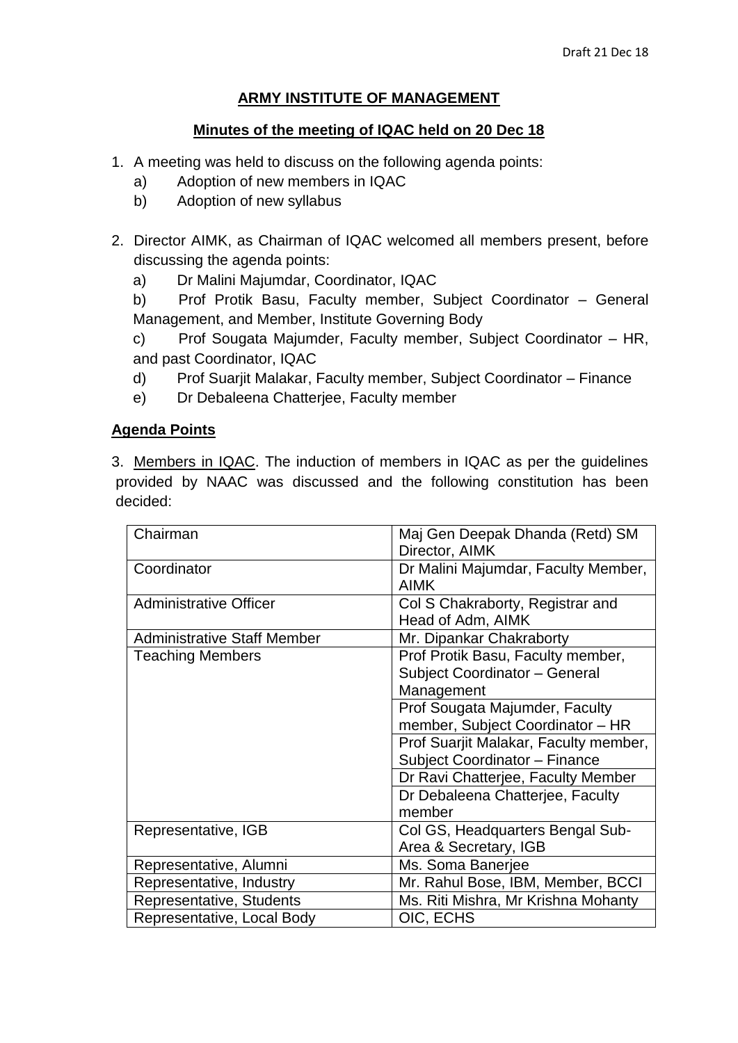## **ARMY INSTITUTE OF MANAGEMENT**

## **Minutes of the meeting of IQAC held on 20 Dec 18**

- 1. A meeting was held to discuss on the following agenda points:
	- a) Adoption of new members in IQAC
	- b) Adoption of new syllabus
- 2. Director AIMK, as Chairman of IQAC welcomed all members present, before discussing the agenda points:
	- a) Dr Malini Majumdar, Coordinator, IQAC

b) Prof Protik Basu, Faculty member, Subject Coordinator – General Management, and Member, Institute Governing Body

c) Prof Sougata Majumder, Faculty member, Subject Coordinator – HR, and past Coordinator, IQAC

- d) Prof Suarjit Malakar, Faculty member, Subject Coordinator Finance
- e) Dr Debaleena Chatterjee, Faculty member

## **Agenda Points**

3. Members in IQAC. The induction of members in IQAC as per the guidelines provided by NAAC was discussed and the following constitution has been decided:

| Chairman                           | Maj Gen Deepak Dhanda (Retd) SM<br>Director, AIMK                                |
|------------------------------------|----------------------------------------------------------------------------------|
| Coordinator                        | Dr Malini Majumdar, Faculty Member,<br><b>AIMK</b>                               |
| <b>Administrative Officer</b>      | Col S Chakraborty, Registrar and<br>Head of Adm, AIMK                            |
| <b>Administrative Staff Member</b> | Mr. Dipankar Chakraborty                                                         |
| <b>Teaching Members</b>            | Prof Protik Basu, Faculty member,<br>Subject Coordinator - General<br>Management |
|                                    | Prof Sougata Majumder, Faculty<br>member, Subject Coordinator - HR               |
|                                    | Prof Suarjit Malakar, Faculty member,<br>Subject Coordinator - Finance           |
|                                    | Dr Ravi Chatterjee, Faculty Member                                               |
|                                    | Dr Debaleena Chatterjee, Faculty<br>member                                       |
| Representative, IGB                | Col GS, Headquarters Bengal Sub-<br>Area & Secretary, IGB                        |
| Representative, Alumni             | Ms. Soma Banerjee                                                                |
| Representative, Industry           | Mr. Rahul Bose, IBM, Member, BCCI                                                |
| Representative, Students           | Ms. Riti Mishra, Mr Krishna Mohanty                                              |
| Representative, Local Body         | OIC, ECHS                                                                        |